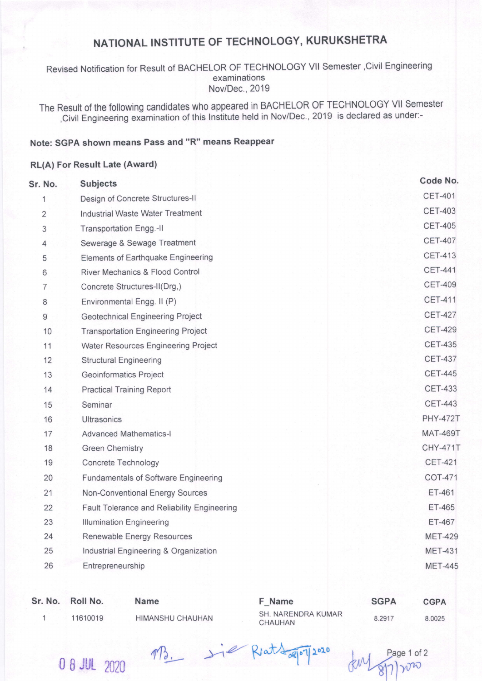## NATIONAL INSTITUTE OF TECHNOLOGY, KURUKSHETRA

Revised Notification for Result of BACHELOR OF TECHNOLOGY VII Semester , Civil Engineering examinations Nov/Dec., 2019

The Result of the following candidates who appeared in BACHELOR OF TECHNOLOGY VII Semester , Civil Engineering examination of this Institute held in Nov/Dec., 2019 is declared as under:-

## Note: SGPA shown means Pass and "R" means Reappear

## **RL(A) For Result Late (Award)**

| Sr. No.        | <b>Subjects</b>                             | Code No.        |
|----------------|---------------------------------------------|-----------------|
| 1              | Design of Concrete Structures-II            | <b>CET-401</b>  |
| $\overline{2}$ | Industrial Waste Water Treatment            | <b>CET-403</b>  |
| 3              | <b>Transportation Engg.-II</b>              | <b>CET-405</b>  |
| 4              | Sewerage & Sewage Treatment                 | <b>CET-407</b>  |
| 5              | Elements of Earthquake Engineering          | <b>CET-413</b>  |
| 6              | River Mechanics & Flood Control             | <b>CET-441</b>  |
| 7              | Concrete Structures-II(Drg,)                | <b>CET-409</b>  |
| 8              | Environmental Engg. II (P)                  | <b>CET-411</b>  |
| $\mathsf g$    | <b>Geotechnical Engineering Project</b>     | <b>CET-427</b>  |
| 10             | <b>Transportation Engineering Project</b>   | <b>CET-429</b>  |
| 11             | Water Resources Engineering Project         | <b>CET-435</b>  |
| 12             | <b>Structural Engineering</b>               | <b>CET-437</b>  |
| 13             | <b>Geoinformatics Project</b>               | <b>CET-445</b>  |
| 14             | <b>Practical Training Report</b>            | <b>CET-433</b>  |
| 15             | Seminar                                     | <b>CET-443</b>  |
| 16             | <b>Ultrasonics</b>                          | <b>PHY-472T</b> |
| 17             | <b>Advanced Mathematics-I</b>               | <b>MAT-469T</b> |
| 18             | <b>Green Chemistry</b>                      | <b>CHY-471T</b> |
| 19             | <b>Concrete Technology</b>                  | <b>CET-421</b>  |
| 20             | <b>Fundamentals of Software Engineering</b> | <b>COT-471</b>  |
| 21             | Non-Conventional Energy Sources             | ET-461          |
| 22             | Fault Tolerance and Reliability Engineering | ET-465          |
| 23             | <b>Illumination Engineering</b>             | ET-467          |
| 24             | Renewable Energy Resources                  | <b>MET-429</b>  |
| 25             | Industrial Engineering & Organization       | <b>MET-431</b>  |
| 26             | Entrepreneurship                            | <b>MET-445</b>  |
|                |                                             |                 |

| Sr. No. Roll No. | <b>Name</b>      | F Name                               | <b>SGPA</b> | <b>CGPA</b> |
|------------------|------------------|--------------------------------------|-------------|-------------|
| 11610019         | HIMANSHU CHAUHAN | <b>SH. NARENDRA KUMAR</b><br>CHAUHAN | 8.2917      | 8.0025      |

0 8 JUL 2020

 $\sqrt{12}$  >

Restaura 12020

of 2  $30P$ W